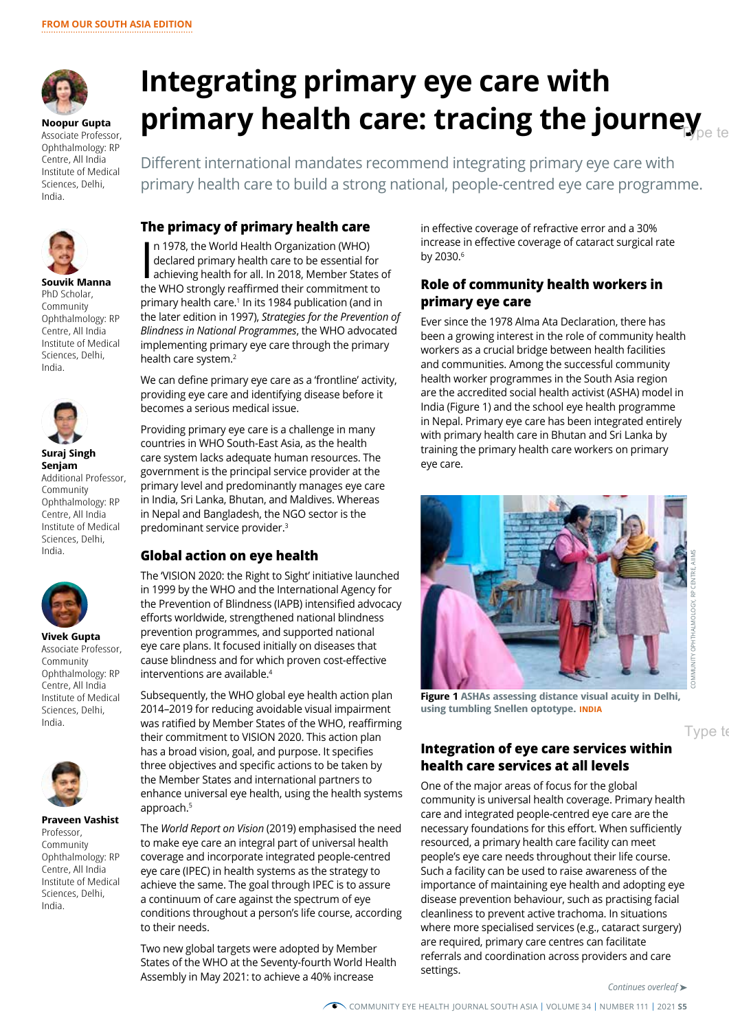

**Noopur Gupta**  Associate Professor, Ophthalmology: RP Centre, All India Institute of Medical Sciences, Delhi, India.



**Souvik Manna** PhD Scholar, Community Ophthalmology: RP Centre, All India Institute of Medical Sciences, Delhi, India.



**Suraj Singh Senjam** Additional Professor, Community Ophthalmology: RP Centre, All India Institute of Medical Sciences, Delhi, India.



**Vivek Gupta** Associate Professor, Community Ophthalmology: RP Centre, All India Institute of Medical Sciences, Delhi, India.



**Praveen Vashist** Professor, Community Ophthalmology: RP Centre, All India Institute of Medical Sciences, Delhi, India.

# **Integrating primary eye care with primary health care: tracing the journey**

Different international mandates recommend integrating primary eye care with primary health care to build a strong national, people-centred eye care programme.

#### **The primacy of primary health care**

In 1978, the World Health Organization (WHO)<br>declared primary health care to be essential for<br>achieving health for all. In 2018, Member States<br>the WHO strongly reaffirmed their commitment to n 1978, the World Health Organization (WHO) declared primary health care to be essential for achieving health for all. In 2018, Member States of primary health care.<sup>1</sup> In its 1984 publication (and in the later edition in 1997), *Strategies for the Prevention of Blindness in National Programmes*, the WHO advocated implementing primary eye care through the primary health care system.<sup>2</sup>

We can define primary eye care as a 'frontline' activity, providing eye care and identifying disease before it becomes a serious medical issue.

Providing primary eye care is a challenge in many countries in WHO South-East Asia, as the health care system lacks adequate human resources. The government is the principal service provider at the primary level and predominantly manages eye care in India, Sri Lanka, Bhutan, and Maldives. Whereas in Nepal and Bangladesh, the NGO sector is the predominant service provider.<sup>3</sup>

### **Global action on eye health**

The 'VISION 2020: the Right to Sight' initiative launched in 1999 by the WHO and the International Agency for the Prevention of Blindness (IAPB) intensified advocacy efforts worldwide, strengthened national blindness prevention programmes, and supported national eye care plans. It focused initially on diseases that cause blindness and for which proven cost-effective interventions are available.4

Subsequently, the WHO global eye health action plan 2014–2019 for reducing avoidable visual impairment was ratified by Member States of the WHO, reaffirming their commitment to VISION 2020. This action plan has a broad vision, goal, and purpose. It specifies three objectives and specific actions to be taken by the Member States and international partners to enhance universal eye health, using the health systems approach.5

The *World Report on Vision* (2019) emphasised the need to make eye care an integral part of universal health coverage and incorporate integrated people-centred eye care (IPEC) in health systems as the strategy to achieve the same. The goal through IPEC is to assure a continuum of care against the spectrum of eye conditions throughout a person's life course, according to their needs.

Two new global targets were adopted by Member States of the WHO at the Seventy-fourth World Health Assembly in May 2021: to achieve a 40% increase

in effective coverage of refractive error and a 30% increase in effective coverage of cataract surgical rate by 2030.<sup>6</sup>

#### **Role of community health workers in primary eye care**

Ever since the 1978 Alma Ata Declaration, there has been a growing interest in the role of community health workers as a crucial bridge between health facilities and communities. Among the successful community health worker programmes in the South Asia region are the accredited social health activist (ASHA) model in India (Figure 1) and the school eye health programme in Nepal. Primary eye care has been integrated entirely with primary health care in Bhutan and Sri Lanka by training the primary health care workers on primary eye care.



Type to

**Figure 1 ASHAs assessing distance visual acuity in Delhi, using tumbling Snellen optotype. INDIA**

## **Integration of eye care services within health care services at all levels**

One of the major areas of focus for the global community is universal health coverage. Primary health care and integrated people-centred eye care are the necessary foundations for this effort. When sufficiently resourced, a primary health care facility can meet people's eye care needs throughout their life course. Such a facility can be used to raise awareness of the importance of maintaining eye health and adopting eye disease prevention behaviour, such as practising facial cleanliness to prevent active trachoma. In situations where more specialised services (e.g., cataract surgery) are required, primary care centres can facilitate referrals and coordination across providers and care settings.

*Continues overleaf* ➤